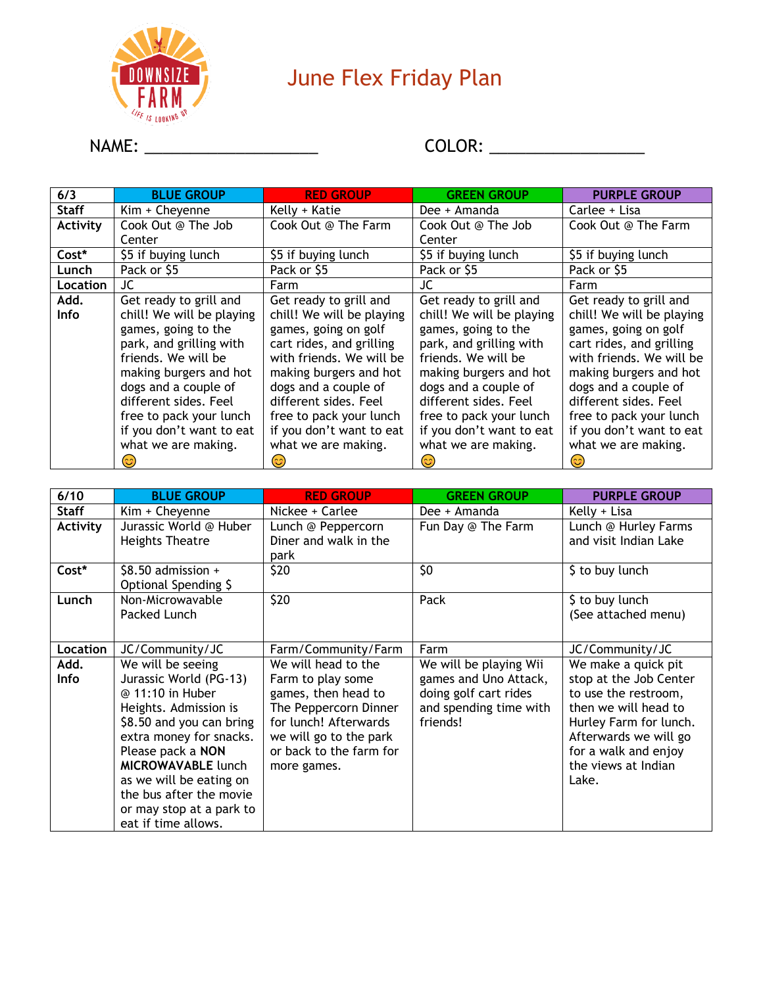

## June Flex Friday Plan

## NAME: \_\_\_\_\_\_\_\_\_\_\_\_\_\_\_\_\_\_\_ COLOR: \_\_\_\_\_\_\_\_\_\_\_\_\_\_\_\_\_

| 6/3          | <b>BLUE GROUP</b>         | <b>RED GROUP</b>          | <b>GREEN GROUP</b>        | <b>PURPLE GROUP</b>       |
|--------------|---------------------------|---------------------------|---------------------------|---------------------------|
| <b>Staff</b> | Kim + Cheyenne            | Kelly + Katie             | Dee + Amanda              | Carlee + Lisa             |
| Activity     | Cook Out @ The Job        | Cook Out @ The Farm       | Cook Out @ The Job        | Cook Out @ The Farm       |
|              | Center                    |                           | Center                    |                           |
| Cost*        | \$5 if buying lunch       | \$5 if buying lunch       | \$5 if buying lunch       | \$5 if buying lunch       |
| Lunch        | Pack or \$5               | Pack or \$5               | Pack or \$5               | Pack or \$5               |
| Location     | JC.                       | Farm                      | JC                        | Farm                      |
| Add.         | Get ready to grill and    | Get ready to grill and    | Get ready to grill and    | Get ready to grill and    |
| Info         | chill! We will be playing | chill! We will be playing | chill! We will be playing | chill! We will be playing |
|              | games, going to the       | games, going on golf      | games, going to the       | games, going on golf      |
|              | park, and grilling with   | cart rides, and grilling  | park, and grilling with   | cart rides, and grilling  |
|              | friends. We will be       | with friends. We will be  | friends. We will be       | with friends. We will be  |
|              | making burgers and hot    | making burgers and hot    | making burgers and hot    | making burgers and hot    |
|              | dogs and a couple of      | dogs and a couple of      | dogs and a couple of      | dogs and a couple of      |
|              | different sides. Feel     | different sides. Feel     | different sides. Feel     | different sides. Feel     |
|              | free to pack your lunch   | free to pack your lunch   | free to pack your lunch   | free to pack your lunch   |
|              | if you don't want to eat  | if you don't want to eat  | if you don't want to eat  | if you don't want to eat  |
|              | what we are making.       | what we are making.       | what we are making.       | what we are making.       |
|              | 3                         | ೞ                         | 3                         |                           |

| 6/10            | <b>BLUE GROUP</b>                                                                                                                                                                                                                                                                                          | <b>RED GROUP</b>                                                                                                                                                                      | <b>GREEN GROUP</b>                                                                                             | <b>PURPLE GROUP</b>                                                                                                                                                                                      |
|-----------------|------------------------------------------------------------------------------------------------------------------------------------------------------------------------------------------------------------------------------------------------------------------------------------------------------------|---------------------------------------------------------------------------------------------------------------------------------------------------------------------------------------|----------------------------------------------------------------------------------------------------------------|----------------------------------------------------------------------------------------------------------------------------------------------------------------------------------------------------------|
| <b>Staff</b>    | Kim + Cheyenne                                                                                                                                                                                                                                                                                             | Nickee + Carlee                                                                                                                                                                       | Dee + Amanda                                                                                                   | Kelly + Lisa                                                                                                                                                                                             |
| <b>Activity</b> | Jurassic World @ Huber<br><b>Heights Theatre</b>                                                                                                                                                                                                                                                           | Lunch @ Peppercorn<br>Diner and walk in the<br>park                                                                                                                                   | Fun Day @ The Farm                                                                                             | Lunch @ Hurley Farms<br>and visit Indian Lake                                                                                                                                                            |
| Cost*           | \$8.50 admission +<br>Optional Spending \$                                                                                                                                                                                                                                                                 | \$20                                                                                                                                                                                  | \$0                                                                                                            | \$ to buy lunch                                                                                                                                                                                          |
| Lunch           | Non-Microwavable<br>Packed Lunch                                                                                                                                                                                                                                                                           | \$20                                                                                                                                                                                  | Pack                                                                                                           | \$ to buy lunch<br>(See attached menu)                                                                                                                                                                   |
| Location        | JC/Community/JC                                                                                                                                                                                                                                                                                            | Farm/Community/Farm                                                                                                                                                                   | Farm                                                                                                           | JC/Community/JC                                                                                                                                                                                          |
| Add.<br>Info    | We will be seeing<br>Jurassic World (PG-13)<br>@ 11:10 in Huber<br>Heights. Admission is<br>\$8.50 and you can bring<br>extra money for snacks.<br>Please pack a NON<br><b>MICROWAVABLE lunch</b><br>as we will be eating on<br>the bus after the movie<br>or may stop at a park to<br>eat if time allows. | We will head to the<br>Farm to play some<br>games, then head to<br>The Peppercorn Dinner<br>for lunch! Afterwards<br>we will go to the park<br>or back to the farm for<br>more games. | We will be playing Wii<br>games and Uno Attack,<br>doing golf cart rides<br>and spending time with<br>friends! | We make a quick pit<br>stop at the Job Center<br>to use the restroom,<br>then we will head to<br>Hurley Farm for lunch.<br>Afterwards we will go<br>for a walk and enjoy<br>the views at Indian<br>Lake. |